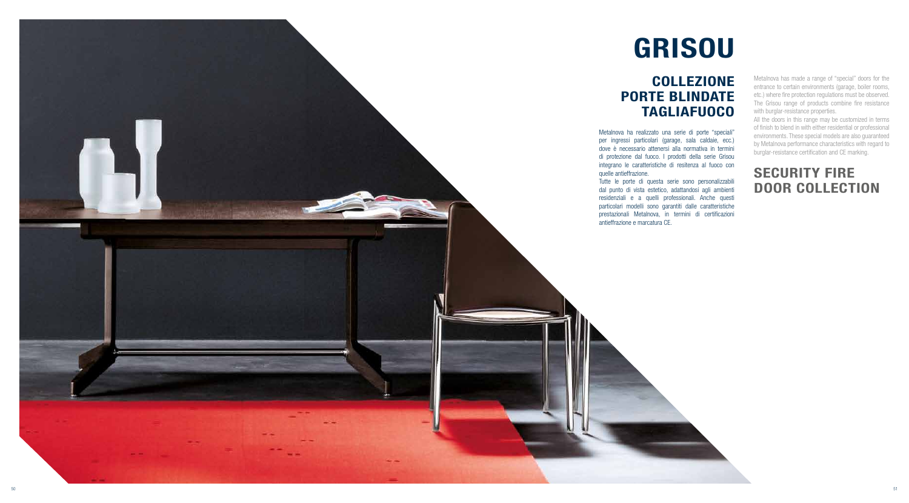

# SECURITY FIRE DOOR COLLECTION

Metalnova has made a range of "special" doors for the entrance to certain environments (garage, boiler rooms, etc.) where fire protection regulations must be observed. The Grisou range of products combine fire resistance with burglar-resistance properties.

All the doors in this range may be customized in terms of finish to blend in with either residential or professional environments. These special models are also guaranteed by Metalnova performance characteristics with regard to burglar-resistance certification and CE marking.